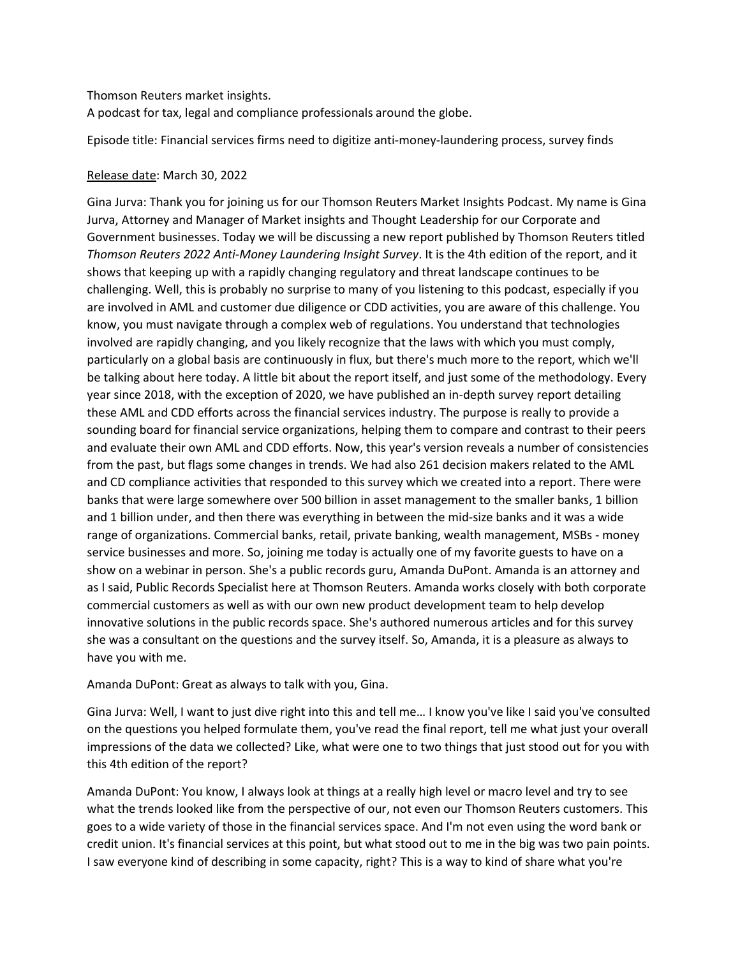## Thomson Reuters market insights.

A podcast for tax, legal and compliance professionals around the globe.

Episode title: Financial services firms need to digitize anti-money-laundering process, survey finds

## Release date: March 30, 2022

Gina Jurva: Thank you for joining us for our Thomson Reuters Market Insights Podcast. My name is Gina Jurva, Attorney and Manager of Market insights and Thought Leadership for our Corporate and Government businesses. Today we will be discussing a new report published by Thomson Reuters titled *Thomson Reuters 2022 Anti-Money Laundering Insight Survey*. It is the 4th edition of the report, and it shows that keeping up with a rapidly changing regulatory and threat landscape continues to be challenging. Well, this is probably no surprise to many of you listening to this podcast, especially if you are involved in AML and customer due diligence or CDD activities, you are aware of this challenge. You know, you must navigate through a complex web of regulations. You understand that technologies involved are rapidly changing, and you likely recognize that the laws with which you must comply, particularly on a global basis are continuously in flux, but there's much more to the report, which we'll be talking about here today. A little bit about the report itself, and just some of the methodology. Every year since 2018, with the exception of 2020, we have published an in-depth survey report detailing these AML and CDD efforts across the financial services industry. The purpose is really to provide a sounding board for financial service organizations, helping them to compare and contrast to their peers and evaluate their own AML and CDD efforts. Now, this year's version reveals a number of consistencies from the past, but flags some changes in trends. We had also 261 decision makers related to the AML and CD compliance activities that responded to this survey which we created into a report. There were banks that were large somewhere over 500 billion in asset management to the smaller banks, 1 billion and 1 billion under, and then there was everything in between the mid-size banks and it was a wide range of organizations. Commercial banks, retail, private banking, wealth management, MSBs - money service businesses and more. So, joining me today is actually one of my favorite guests to have on a show on a webinar in person. She's a public records guru, Amanda DuPont. Amanda is an attorney and as I said, Public Records Specialist here at Thomson Reuters. Amanda works closely with both corporate commercial customers as well as with our own new product development team to help develop innovative solutions in the public records space. She's authored numerous articles and for this survey she was a consultant on the questions and the survey itself. So, Amanda, it is a pleasure as always to have you with me.

Amanda DuPont: Great as always to talk with you, Gina.

Gina Jurva: Well, I want to just dive right into this and tell me… I know you've like I said you've consulted on the questions you helped formulate them, you've read the final report, tell me what just your overall impressions of the data we collected? Like, what were one to two things that just stood out for you with this 4th edition of the report?

Amanda DuPont: You know, I always look at things at a really high level or macro level and try to see what the trends looked like from the perspective of our, not even our Thomson Reuters customers. This goes to a wide variety of those in the financial services space. And I'm not even using the word bank or credit union. It's financial services at this point, but what stood out to me in the big was two pain points. I saw everyone kind of describing in some capacity, right? This is a way to kind of share what you're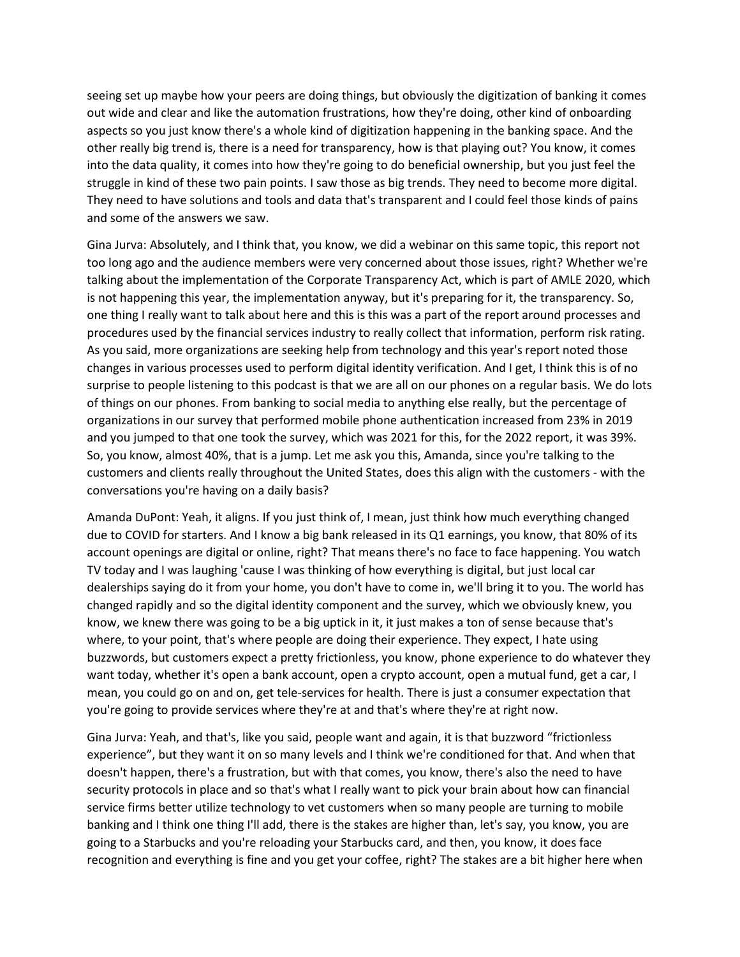seeing set up maybe how your peers are doing things, but obviously the digitization of banking it comes out wide and clear and like the automation frustrations, how they're doing, other kind of onboarding aspects so you just know there's a whole kind of digitization happening in the banking space. And the other really big trend is, there is a need for transparency, how is that playing out? You know, it comes into the data quality, it comes into how they're going to do beneficial ownership, but you just feel the struggle in kind of these two pain points. I saw those as big trends. They need to become more digital. They need to have solutions and tools and data that's transparent and I could feel those kinds of pains and some of the answers we saw.

Gina Jurva: Absolutely, and I think that, you know, we did a webinar on this same topic, this report not too long ago and the audience members were very concerned about those issues, right? Whether we're talking about the implementation of the Corporate Transparency Act, which is part of AMLE 2020, which is not happening this year, the implementation anyway, but it's preparing for it, the transparency. So, one thing I really want to talk about here and this is this was a part of the report around processes and procedures used by the financial services industry to really collect that information, perform risk rating. As you said, more organizations are seeking help from technology and this year's report noted those changes in various processes used to perform digital identity verification. And I get, I think this is of no surprise to people listening to this podcast is that we are all on our phones on a regular basis. We do lots of things on our phones. From banking to social media to anything else really, but the percentage of organizations in our survey that performed mobile phone authentication increased from 23% in 2019 and you jumped to that one took the survey, which was 2021 for this, for the 2022 report, it was 39%. So, you know, almost 40%, that is a jump. Let me ask you this, Amanda, since you're talking to the customers and clients really throughout the United States, does this align with the customers - with the conversations you're having on a daily basis?

Amanda DuPont: Yeah, it aligns. If you just think of, I mean, just think how much everything changed due to COVID for starters. And I know a big bank released in its Q1 earnings, you know, that 80% of its account openings are digital or online, right? That means there's no face to face happening. You watch TV today and I was laughing 'cause I was thinking of how everything is digital, but just local car dealerships saying do it from your home, you don't have to come in, we'll bring it to you. The world has changed rapidly and so the digital identity component and the survey, which we obviously knew, you know, we knew there was going to be a big uptick in it, it just makes a ton of sense because that's where, to your point, that's where people are doing their experience. They expect, I hate using buzzwords, but customers expect a pretty frictionless, you know, phone experience to do whatever they want today, whether it's open a bank account, open a crypto account, open a mutual fund, get a car, I mean, you could go on and on, get tele-services for health. There is just a consumer expectation that you're going to provide services where they're at and that's where they're at right now.

Gina Jurva: Yeah, and that's, like you said, people want and again, it is that buzzword "frictionless experience", but they want it on so many levels and I think we're conditioned for that. And when that doesn't happen, there's a frustration, but with that comes, you know, there's also the need to have security protocols in place and so that's what I really want to pick your brain about how can financial service firms better utilize technology to vet customers when so many people are turning to mobile banking and I think one thing I'll add, there is the stakes are higher than, let's say, you know, you are going to a Starbucks and you're reloading your Starbucks card, and then, you know, it does face recognition and everything is fine and you get your coffee, right? The stakes are a bit higher here when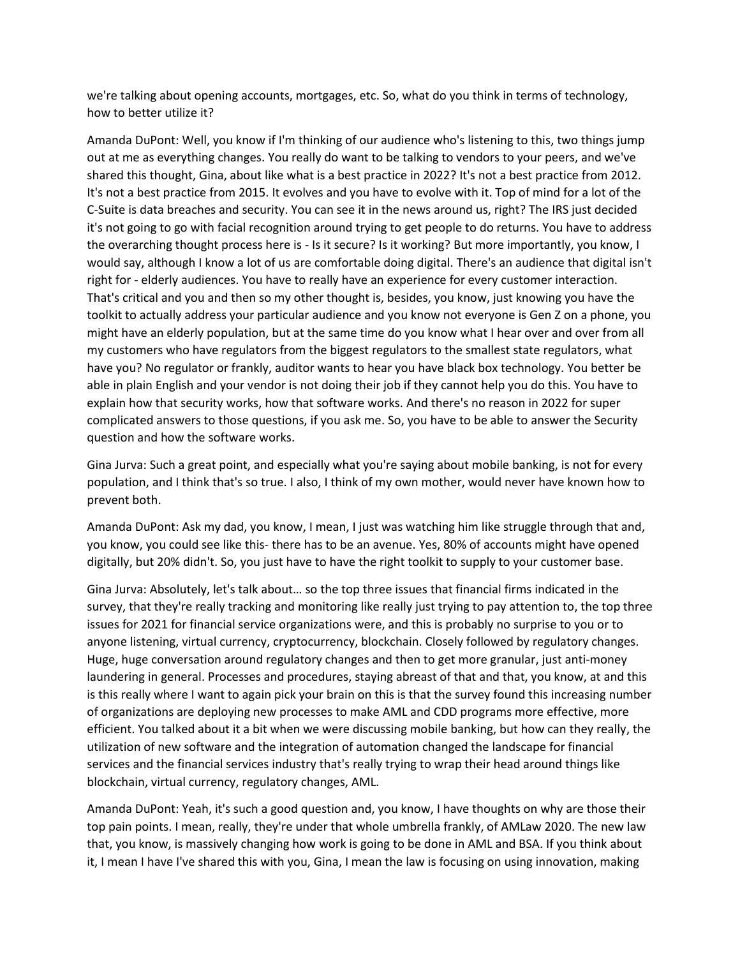we're talking about opening accounts, mortgages, etc. So, what do you think in terms of technology, how to better utilize it?

Amanda DuPont: Well, you know if I'm thinking of our audience who's listening to this, two things jump out at me as everything changes. You really do want to be talking to vendors to your peers, and we've shared this thought, Gina, about like what is a best practice in 2022? It's not a best practice from 2012. It's not a best practice from 2015. It evolves and you have to evolve with it. Top of mind for a lot of the C-Suite is data breaches and security. You can see it in the news around us, right? The IRS just decided it's not going to go with facial recognition around trying to get people to do returns. You have to address the overarching thought process here is - Is it secure? Is it working? But more importantly, you know, I would say, although I know a lot of us are comfortable doing digital. There's an audience that digital isn't right for - elderly audiences. You have to really have an experience for every customer interaction. That's critical and you and then so my other thought is, besides, you know, just knowing you have the toolkit to actually address your particular audience and you know not everyone is Gen Z on a phone, you might have an elderly population, but at the same time do you know what I hear over and over from all my customers who have regulators from the biggest regulators to the smallest state regulators, what have you? No regulator or frankly, auditor wants to hear you have black box technology. You better be able in plain English and your vendor is not doing their job if they cannot help you do this. You have to explain how that security works, how that software works. And there's no reason in 2022 for super complicated answers to those questions, if you ask me. So, you have to be able to answer the Security question and how the software works.

Gina Jurva: Such a great point, and especially what you're saying about mobile banking, is not for every population, and I think that's so true. I also, I think of my own mother, would never have known how to prevent both.

Amanda DuPont: Ask my dad, you know, I mean, I just was watching him like struggle through that and, you know, you could see like this- there has to be an avenue. Yes, 80% of accounts might have opened digitally, but 20% didn't. So, you just have to have the right toolkit to supply to your customer base.

Gina Jurva: Absolutely, let's talk about… so the top three issues that financial firms indicated in the survey, that they're really tracking and monitoring like really just trying to pay attention to, the top three issues for 2021 for financial service organizations were, and this is probably no surprise to you or to anyone listening, virtual currency, cryptocurrency, blockchain. Closely followed by regulatory changes. Huge, huge conversation around regulatory changes and then to get more granular, just anti-money laundering in general. Processes and procedures, staying abreast of that and that, you know, at and this is this really where I want to again pick your brain on this is that the survey found this increasing number of organizations are deploying new processes to make AML and CDD programs more effective, more efficient. You talked about it a bit when we were discussing mobile banking, but how can they really, the utilization of new software and the integration of automation changed the landscape for financial services and the financial services industry that's really trying to wrap their head around things like blockchain, virtual currency, regulatory changes, AML.

Amanda DuPont: Yeah, it's such a good question and, you know, I have thoughts on why are those their top pain points. I mean, really, they're under that whole umbrella frankly, of AMLaw 2020. The new law that, you know, is massively changing how work is going to be done in AML and BSA. If you think about it, I mean I have I've shared this with you, Gina, I mean the law is focusing on using innovation, making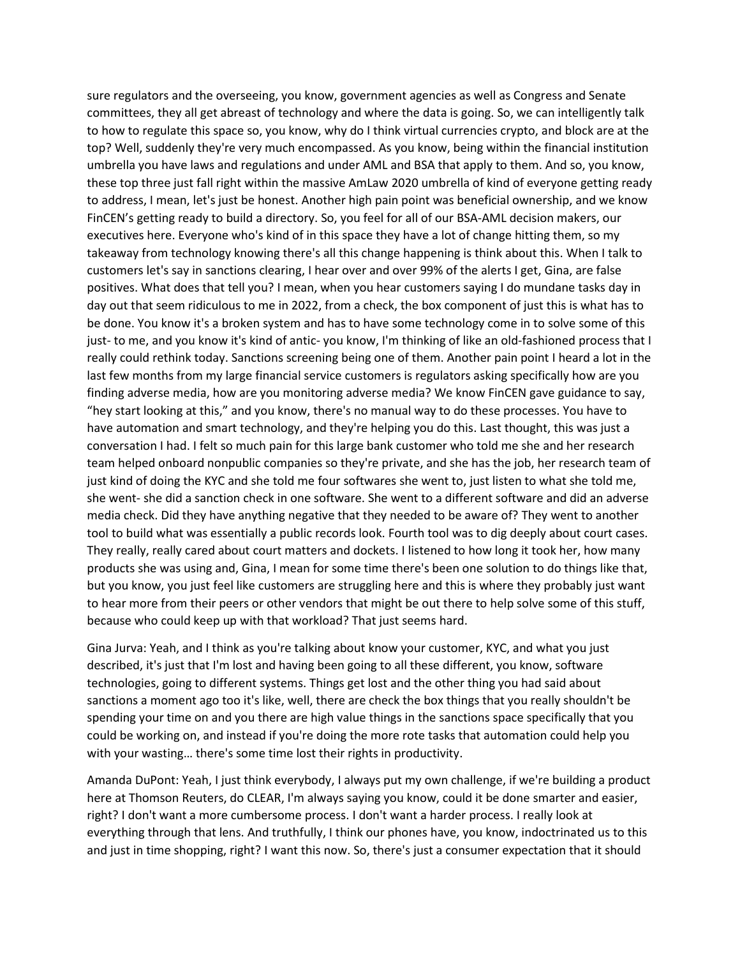sure regulators and the overseeing, you know, government agencies as well as Congress and Senate committees, they all get abreast of technology and where the data is going. So, we can intelligently talk to how to regulate this space so, you know, why do I think virtual currencies crypto, and block are at the top? Well, suddenly they're very much encompassed. As you know, being within the financial institution umbrella you have laws and regulations and under AML and BSA that apply to them. And so, you know, these top three just fall right within the massive AmLaw 2020 umbrella of kind of everyone getting ready to address, I mean, let's just be honest. Another high pain point was beneficial ownership, and we know FinCEN's getting ready to build a directory. So, you feel for all of our BSA-AML decision makers, our executives here. Everyone who's kind of in this space they have a lot of change hitting them, so my takeaway from technology knowing there's all this change happening is think about this. When I talk to customers let's say in sanctions clearing, I hear over and over 99% of the alerts I get, Gina, are false positives. What does that tell you? I mean, when you hear customers saying I do mundane tasks day in day out that seem ridiculous to me in 2022, from a check, the box component of just this is what has to be done. You know it's a broken system and has to have some technology come in to solve some of this just- to me, and you know it's kind of antic- you know, I'm thinking of like an old-fashioned process that I really could rethink today. Sanctions screening being one of them. Another pain point I heard a lot in the last few months from my large financial service customers is regulators asking specifically how are you finding adverse media, how are you monitoring adverse media? We know FinCEN gave guidance to say, "hey start looking at this," and you know, there's no manual way to do these processes. You have to have automation and smart technology, and they're helping you do this. Last thought, this was just a conversation I had. I felt so much pain for this large bank customer who told me she and her research team helped onboard nonpublic companies so they're private, and she has the job, her research team of just kind of doing the KYC and she told me four softwares she went to, just listen to what she told me, she went- she did a sanction check in one software. She went to a different software and did an adverse media check. Did they have anything negative that they needed to be aware of? They went to another tool to build what was essentially a public records look. Fourth tool was to dig deeply about court cases. They really, really cared about court matters and dockets. I listened to how long it took her, how many products she was using and, Gina, I mean for some time there's been one solution to do things like that, but you know, you just feel like customers are struggling here and this is where they probably just want to hear more from their peers or other vendors that might be out there to help solve some of this stuff, because who could keep up with that workload? That just seems hard.

Gina Jurva: Yeah, and I think as you're talking about know your customer, KYC, and what you just described, it's just that I'm lost and having been going to all these different, you know, software technologies, going to different systems. Things get lost and the other thing you had said about sanctions a moment ago too it's like, well, there are check the box things that you really shouldn't be spending your time on and you there are high value things in the sanctions space specifically that you could be working on, and instead if you're doing the more rote tasks that automation could help you with your wasting… there's some time lost their rights in productivity.

Amanda DuPont: Yeah, I just think everybody, I always put my own challenge, if we're building a product here at Thomson Reuters, do CLEAR, I'm always saying you know, could it be done smarter and easier, right? I don't want a more cumbersome process. I don't want a harder process. I really look at everything through that lens. And truthfully, I think our phones have, you know, indoctrinated us to this and just in time shopping, right? I want this now. So, there's just a consumer expectation that it should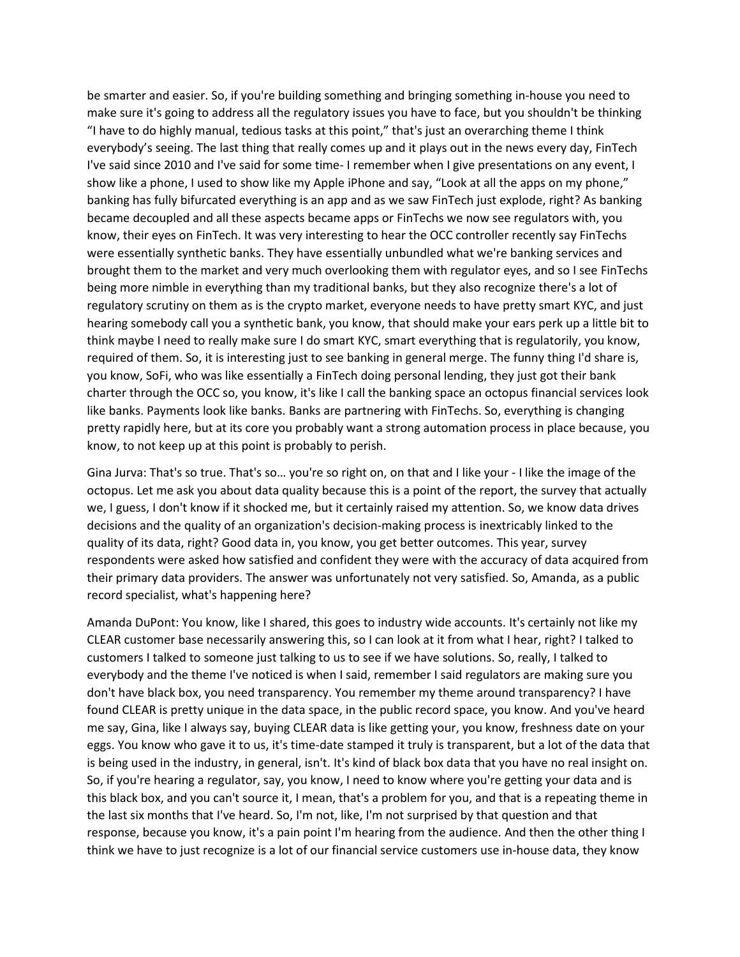be smarter and easier. So, if you're building something and bringing something in-house you need to make sure it's going to address all the regulatory issues you have to face, but you shouldn't be thinking "I have to do highly manual, tedious tasks at this point," that's just an overarching theme I think everybody's seeing. The last thing that really comes up and it plays out in the news every day, FinTech I've said since 2010 and I've said for some time- I remember when I give presentations on any event, I show like a phone, I used to show like my Apple iPhone and say, "Look at all the apps on my phone," banking has fully bifurcated everything is an app and as we saw FinTech just explode, right? As banking became decoupled and all these aspects became apps or FinTechs we now see regulators with, you know, their eyes on FinTech. It was very interesting to hear the OCC controller recently say FinTechs were essentially synthetic banks. They have essentially unbundled what we're banking services and brought them to the market and very much overlooking them with regulator eyes, and so I see FinTechs being more nimble in everything than my traditional banks, but they also recognize there's a lot of regulatory scrutiny on them as is the crypto market, everyone needs to have pretty smart KYC, and just hearing somebody call you a synthetic bank, you know, that should make your ears perk up a little bit to think maybe I need to really make sure I do smart KYC, smart everything that is regulatorily, you know, required of them. So, it is interesting just to see banking in general merge. The funny thing I'd share is, you know, SoFi, who was like essentially a FinTech doing personal lending, they just got their bank charter through the OCC so, you know, it's like I call the banking space an octopus financial services look like banks. Payments look like banks. Banks are partnering with FinTechs. So, everything is changing pretty rapidly here, but at its core you probably want a strong automation process in place because, you know, to not keep up at this point is probably to perish.

Gina Jurva: That's so true. That's so… you're so right on, on that and I like your - I like the image of the octopus. Let me ask you about data quality because this is a point of the report, the survey that actually we, I guess, I don't know if it shocked me, but it certainly raised my attention. So, we know data drives decisions and the quality of an organization's decision-making process is inextricably linked to the quality of its data, right? Good data in, you know, you get better outcomes. This year, survey respondents were asked how satisfied and confident they were with the accuracy of data acquired from their primary data providers. The answer was unfortunately not very satisfied. So, Amanda, as a public record specialist, what's happening here?

Amanda DuPont: You know, like I shared, this goes to industry wide accounts. It's certainly not like my CLEAR customer base necessarily answering this, so I can look at it from what I hear, right? I talked to customers I talked to someone just talking to us to see if we have solutions. So, really, I talked to everybody and the theme I've noticed is when I said, remember I said regulators are making sure you don't have black box, you need transparency. You remember my theme around transparency? I have found CLEAR is pretty unique in the data space, in the public record space, you know. And you've heard me say, Gina, like I always say, buying CLEAR data is like getting your, you know, freshness date on your eggs. You know who gave it to us, it's time-date stamped it truly is transparent, but a lot of the data that is being used in the industry, in general, isn't. It's kind of black box data that you have no real insight on. So, if you're hearing a regulator, say, you know, I need to know where you're getting your data and is this black box, and you can't source it, I mean, that's a problem for you, and that is a repeating theme in the last six months that I've heard. So, I'm not, like, I'm not surprised by that question and that response, because you know, it's a pain point I'm hearing from the audience. And then the other thing I think we have to just recognize is a lot of our financial service customers use in-house data, they know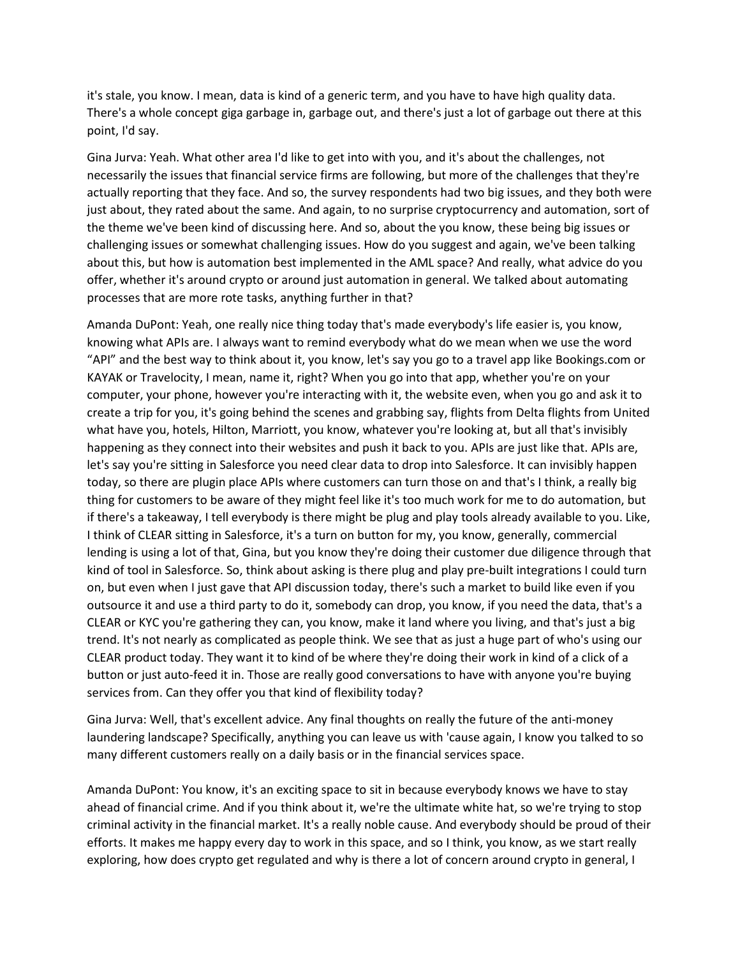it's stale, you know. I mean, data is kind of a generic term, and you have to have high quality data. There's a whole concept giga garbage in, garbage out, and there's just a lot of garbage out there at this point, I'd say.

Gina Jurva: Yeah. What other area I'd like to get into with you, and it's about the challenges, not necessarily the issues that financial service firms are following, but more of the challenges that they're actually reporting that they face. And so, the survey respondents had two big issues, and they both were just about, they rated about the same. And again, to no surprise cryptocurrency and automation, sort of the theme we've been kind of discussing here. And so, about the you know, these being big issues or challenging issues or somewhat challenging issues. How do you suggest and again, we've been talking about this, but how is automation best implemented in the AML space? And really, what advice do you offer, whether it's around crypto or around just automation in general. We talked about automating processes that are more rote tasks, anything further in that?

Amanda DuPont: Yeah, one really nice thing today that's made everybody's life easier is, you know, knowing what APIs are. I always want to remind everybody what do we mean when we use the word "API" and the best way to think about it, you know, let's say you go to a travel app like Bookings.com or KAYAK or Travelocity, I mean, name it, right? When you go into that app, whether you're on your computer, your phone, however you're interacting with it, the website even, when you go and ask it to create a trip for you, it's going behind the scenes and grabbing say, flights from Delta flights from United what have you, hotels, Hilton, Marriott, you know, whatever you're looking at, but all that's invisibly happening as they connect into their websites and push it back to you. APIs are just like that. APIs are, let's say you're sitting in Salesforce you need clear data to drop into Salesforce. It can invisibly happen today, so there are plugin place APIs where customers can turn those on and that's I think, a really big thing for customers to be aware of they might feel like it's too much work for me to do automation, but if there's a takeaway, I tell everybody is there might be plug and play tools already available to you. Like, I think of CLEAR sitting in Salesforce, it's a turn on button for my, you know, generally, commercial lending is using a lot of that, Gina, but you know they're doing their customer due diligence through that kind of tool in Salesforce. So, think about asking is there plug and play pre-built integrations I could turn on, but even when I just gave that API discussion today, there's such a market to build like even if you outsource it and use a third party to do it, somebody can drop, you know, if you need the data, that's a CLEAR or KYC you're gathering they can, you know, make it land where you living, and that's just a big trend. It's not nearly as complicated as people think. We see that as just a huge part of who's using our CLEAR product today. They want it to kind of be where they're doing their work in kind of a click of a button or just auto-feed it in. Those are really good conversations to have with anyone you're buying services from. Can they offer you that kind of flexibility today?

Gina Jurva: Well, that's excellent advice. Any final thoughts on really the future of the anti-money laundering landscape? Specifically, anything you can leave us with 'cause again, I know you talked to so many different customers really on a daily basis or in the financial services space.

Amanda DuPont: You know, it's an exciting space to sit in because everybody knows we have to stay ahead of financial crime. And if you think about it, we're the ultimate white hat, so we're trying to stop criminal activity in the financial market. It's a really noble cause. And everybody should be proud of their efforts. It makes me happy every day to work in this space, and so I think, you know, as we start really exploring, how does crypto get regulated and why is there a lot of concern around crypto in general, I